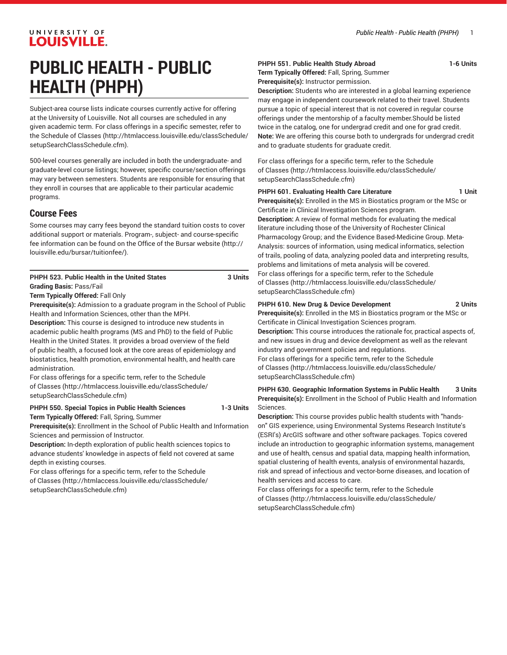# UNIVERSITY OF **LOUISVILLE.**

# **PUBLIC HEALTH - PUBLIC HEALTH (PHPH)**

Subject-area course lists indicate courses currently active for offering at the University of Louisville. Not all courses are scheduled in any given academic term. For class offerings in a specific semester, refer to the [Schedule of Classes](http://htmlaccess.louisville.edu/classSchedule/setupSearchClassSchedule.cfm) ([http://htmlaccess.louisville.edu/classSchedule/](http://htmlaccess.louisville.edu/classSchedule/setupSearchClassSchedule.cfm) [setupSearchClassSchedule.cfm\)](http://htmlaccess.louisville.edu/classSchedule/setupSearchClassSchedule.cfm).

500-level courses generally are included in both the undergraduate- and graduate-level course listings; however, specific course/section offerings may vary between semesters. Students are responsible for ensuring that they enroll in courses that are applicable to their particular academic programs.

# **Course Fees**

Some courses may carry fees beyond the standard tuition costs to cover additional support or materials. Program-, subject- and course-specific fee information can be found on the [Office of the Bursar website](http://louisville.edu/bursar/tuitionfee/) ([http://](http://louisville.edu/bursar/tuitionfee/) [louisville.edu/bursar/tuitionfee/](http://louisville.edu/bursar/tuitionfee/)).

# **PHPH 523. Public Health in the United States 3 Units Grading Basis:** Pass/Fail

**Term Typically Offered:** Fall Only

**Prerequisite(s):** Admission to a graduate program in the School of Public Health and Information Sciences, other than the MPH.

**Description:** This course is designed to introduce new students in academic public health programs (MS and PhD) to the field of Public Health in the United States. It provides a broad overview of the field of public health, a focused look at the core areas of epidemiology and biostatistics, health promotion, environmental health, and health care administration.

For class offerings for a specific term, refer to the [Schedule](http://htmlaccess.louisville.edu/classSchedule/setupSearchClassSchedule.cfm) [of Classes \(http://htmlaccess.louisville.edu/classSchedule/](http://htmlaccess.louisville.edu/classSchedule/setupSearchClassSchedule.cfm) [setupSearchClassSchedule.cfm\)](http://htmlaccess.louisville.edu/classSchedule/setupSearchClassSchedule.cfm)

**PHPH 550. Special Topics in Public Health Sciences 1-3 Units Term Typically Offered:** Fall, Spring, Summer

**Prerequisite(s):** Enrollment in the School of Public Health and Information Sciences and permission of Instructor.

**Description:** In-depth exploration of public health sciences topics to advance students' knowledge in aspects of field not covered at same depth in existing courses.

For class offerings for a specific term, refer to the [Schedule](http://htmlaccess.louisville.edu/classSchedule/setupSearchClassSchedule.cfm) [of Classes \(http://htmlaccess.louisville.edu/classSchedule/](http://htmlaccess.louisville.edu/classSchedule/setupSearchClassSchedule.cfm) [setupSearchClassSchedule.cfm\)](http://htmlaccess.louisville.edu/classSchedule/setupSearchClassSchedule.cfm)

# **PHPH 551. Public Health Study Abroad 1-6 Units**

**Term Typically Offered:** Fall, Spring, Summer **Prerequisite(s):** Instructor permission.

**Description:** Students who are interested in a global learning experience may engage in independent coursework related to their travel. Students pursue a topic of special interest that is not covered in regular course offerings under the mentorship of a faculty member.Should be listed twice in the catalog, one for undergrad credit and one for grad credit. **Note:** We are offering this course both to undergrads for undergrad credit and to graduate students for graduate credit.

For class offerings for a specific term, refer to the [Schedule](http://htmlaccess.louisville.edu/classSchedule/setupSearchClassSchedule.cfm) [of Classes](http://htmlaccess.louisville.edu/classSchedule/setupSearchClassSchedule.cfm) ([http://htmlaccess.louisville.edu/classSchedule/](http://htmlaccess.louisville.edu/classSchedule/setupSearchClassSchedule.cfm) [setupSearchClassSchedule.cfm\)](http://htmlaccess.louisville.edu/classSchedule/setupSearchClassSchedule.cfm)

# **PHPH 601. Evaluating Health Care Literature 1 Unit**

**Prerequisite(s):** Enrolled in the MS in Biostatics program or the MSc or Certificate in Clinical Investigation Sciences program. **Description:** A review of formal methods for evaluating the medical literature including those of the University of Rochester Clinical Pharmacology Group; and the Evidence Based-Medicine Group. Meta-Analysis: sources of information, using medical informatics, selection of trails, pooling of data, analyzing pooled data and interpreting results, problems and limitations of meta analysis will be covered. For class offerings for a specific term, refer to the [Schedule](http://htmlaccess.louisville.edu/classSchedule/setupSearchClassSchedule.cfm) [of Classes](http://htmlaccess.louisville.edu/classSchedule/setupSearchClassSchedule.cfm) ([http://htmlaccess.louisville.edu/classSchedule/](http://htmlaccess.louisville.edu/classSchedule/setupSearchClassSchedule.cfm) [setupSearchClassSchedule.cfm\)](http://htmlaccess.louisville.edu/classSchedule/setupSearchClassSchedule.cfm)

# **PHPH 610. New Drug & Device Development 2 Units**

**Prerequisite(s):** Enrolled in the MS in Biostatics program or the MSc or Certificate in Clinical Investigation Sciences program. **Description:** This course introduces the rationale for, practical aspects of, and new issues in drug and device development as well as the relevant industry and government policies and regulations. For class offerings for a specific term, refer to the [Schedule](http://htmlaccess.louisville.edu/classSchedule/setupSearchClassSchedule.cfm) [of Classes](http://htmlaccess.louisville.edu/classSchedule/setupSearchClassSchedule.cfm) ([http://htmlaccess.louisville.edu/classSchedule/](http://htmlaccess.louisville.edu/classSchedule/setupSearchClassSchedule.cfm)

[setupSearchClassSchedule.cfm\)](http://htmlaccess.louisville.edu/classSchedule/setupSearchClassSchedule.cfm)

# **PHPH 630. Geographic Information Systems in Public Health 3 Units Prerequisite(s):** Enrollment in the School of Public Health and Information Sciences.

**Description:** This course provides public health students with "handson" GIS experience, using Environmental Systems Research Institute's (ESRI's) ArcGIS software and other software packages. Topics covered include an introduction to geographic information systems, management and use of health, census and spatial data, mapping health information, spatial clustering of health events, analysis of environmental hazards, risk and spread of infectious and vector-borne diseases, and location of health services and access to care.

For class offerings for a specific term, refer to the [Schedule](http://htmlaccess.louisville.edu/classSchedule/setupSearchClassSchedule.cfm) [of Classes](http://htmlaccess.louisville.edu/classSchedule/setupSearchClassSchedule.cfm) ([http://htmlaccess.louisville.edu/classSchedule/](http://htmlaccess.louisville.edu/classSchedule/setupSearchClassSchedule.cfm) [setupSearchClassSchedule.cfm\)](http://htmlaccess.louisville.edu/classSchedule/setupSearchClassSchedule.cfm)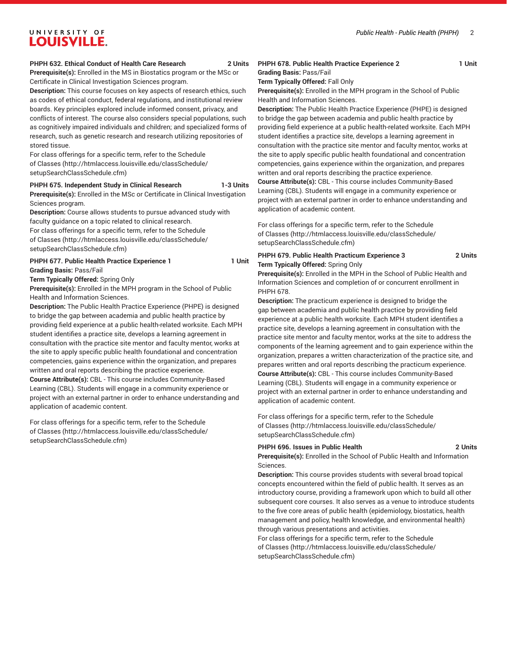#### *Public Health - Public Health (PHPH)* 2

# UNIVERSITY OF **LOUISVILLE.**

#### **PHPH 632. Ethical Conduct of Health Care Research 2 Units**

**Prerequisite(s):** Enrolled in the MS in Biostatics program or the MSc or Certificate in Clinical Investigation Sciences program.

**Description:** This course focuses on key aspects of research ethics, such as codes of ethical conduct, federal regulations, and institutional review boards. Key principles explored include informed consent, privacy, and conflicts of interest. The course also considers special populations, such as cognitively impaired individuals and children; and specialized forms of research, such as genetic research and research utilizing repositories of stored tissue.

For class offerings for a specific term, refer to the [Schedule](http://htmlaccess.louisville.edu/classSchedule/setupSearchClassSchedule.cfm) [of Classes \(http://htmlaccess.louisville.edu/classSchedule/](http://htmlaccess.louisville.edu/classSchedule/setupSearchClassSchedule.cfm) [setupSearchClassSchedule.cfm\)](http://htmlaccess.louisville.edu/classSchedule/setupSearchClassSchedule.cfm)

#### **PHPH 675. Independent Study in Clinical Research 1-3 Units**

**Prerequisite(s):** Enrolled in the MSc or Certificate in Clinical Investigation Sciences program.

**Description:** Course allows students to pursue advanced study with faculty guidance on a topic related to clinical research.

For class offerings for a specific term, refer to the [Schedule](http://htmlaccess.louisville.edu/classSchedule/setupSearchClassSchedule.cfm) [of Classes \(http://htmlaccess.louisville.edu/classSchedule/](http://htmlaccess.louisville.edu/classSchedule/setupSearchClassSchedule.cfm) [setupSearchClassSchedule.cfm\)](http://htmlaccess.louisville.edu/classSchedule/setupSearchClassSchedule.cfm)

# **PHPH 677. Public Health Practice Experience 1 1 1 Unit**

**Grading Basis:** Pass/Fail **Term Typically Offered:** Spring Only

**Prerequisite(s):** Enrolled in the MPH program in the School of Public Health and Information Sciences.

**Description:** The Public Health Practice Experience (PHPE) is designed to bridge the gap between academia and public health practice by providing field experience at a public health-related worksite. Each MPH student identifies a practice site, develops a learning agreement in consultation with the practice site mentor and faculty mentor, works at the site to apply specific public health foundational and concentration competencies, gains experience within the organization, and prepares written and oral reports describing the practice experience.

**Course Attribute(s):** CBL - This course includes Community-Based Learning (CBL). Students will engage in a community experience or project with an external partner in order to enhance understanding and application of academic content.

For class offerings for a specific term, refer to the [Schedule](http://htmlaccess.louisville.edu/classSchedule/setupSearchClassSchedule.cfm) [of Classes \(http://htmlaccess.louisville.edu/classSchedule/](http://htmlaccess.louisville.edu/classSchedule/setupSearchClassSchedule.cfm) [setupSearchClassSchedule.cfm\)](http://htmlaccess.louisville.edu/classSchedule/setupSearchClassSchedule.cfm)

#### PHPH 678. Public Health Practice Experience 2 **1 Unit Grading Basis:** Pass/Fail

**Term Typically Offered:** Fall Only

**Prerequisite(s):** Enrolled in the MPH program in the School of Public Health and Information Sciences.

**Description:** The Public Health Practice Experience (PHPE) is designed to bridge the gap between academia and public health practice by providing field experience at a public health-related worksite. Each MPH student identifies a practice site, develops a learning agreement in consultation with the practice site mentor and faculty mentor, works at the site to apply specific public health foundational and concentration competencies, gains experience within the organization, and prepares written and oral reports describing the practice experience.

**Course Attribute(s):** CBL - This course includes Community-Based Learning (CBL). Students will engage in a community experience or project with an external partner in order to enhance understanding and application of academic content.

For class offerings for a specific term, refer to the [Schedule](http://htmlaccess.louisville.edu/classSchedule/setupSearchClassSchedule.cfm) [of Classes](http://htmlaccess.louisville.edu/classSchedule/setupSearchClassSchedule.cfm) ([http://htmlaccess.louisville.edu/classSchedule/](http://htmlaccess.louisville.edu/classSchedule/setupSearchClassSchedule.cfm) [setupSearchClassSchedule.cfm\)](http://htmlaccess.louisville.edu/classSchedule/setupSearchClassSchedule.cfm)

## **PHPH 679. Public Health Practicum Experience 3 2 Units Term Typically Offered:** Spring Only

**Prerequisite(s):** Enrolled in the MPH in the School of Public Health and Information Sciences and completion of or concurrent enrollment in PHPH 678.

**Description:** The practicum experience is designed to bridge the gap between academia and public health practice by providing field experience at a public health worksite. Each MPH student identifies a practice site, develops a learning agreement in consultation with the practice site mentor and faculty mentor, works at the site to address the components of the learning agreement and to gain experience within the organization, prepares a written characterization of the practice site, and prepares written and oral reports describing the practicum experience. **Course Attribute(s):** CBL - This course includes Community-Based Learning (CBL). Students will engage in a community experience or project with an external partner in order to enhance understanding and application of academic content.

For class offerings for a specific term, refer to the [Schedule](http://htmlaccess.louisville.edu/classSchedule/setupSearchClassSchedule.cfm) [of Classes](http://htmlaccess.louisville.edu/classSchedule/setupSearchClassSchedule.cfm) ([http://htmlaccess.louisville.edu/classSchedule/](http://htmlaccess.louisville.edu/classSchedule/setupSearchClassSchedule.cfm) [setupSearchClassSchedule.cfm\)](http://htmlaccess.louisville.edu/classSchedule/setupSearchClassSchedule.cfm)

#### **PHPH 696. Issues in Public Health 2 Units**

**Prerequisite(s):** Enrolled in the School of Public Health and Information Sciences.

**Description:** This course provides students with several broad topical concepts encountered within the field of public health. It serves as an introductory course, providing a framework upon which to build all other subsequent core courses. It also serves as a venue to introduce students to the five core areas of public health (epidemiology, biostatics, health management and policy, health knowledge, and environmental health) through various presentations and activities.

For class offerings for a specific term, refer to the [Schedule](http://htmlaccess.louisville.edu/classSchedule/setupSearchClassSchedule.cfm) [of Classes](http://htmlaccess.louisville.edu/classSchedule/setupSearchClassSchedule.cfm) ([http://htmlaccess.louisville.edu/classSchedule/](http://htmlaccess.louisville.edu/classSchedule/setupSearchClassSchedule.cfm) [setupSearchClassSchedule.cfm\)](http://htmlaccess.louisville.edu/classSchedule/setupSearchClassSchedule.cfm)